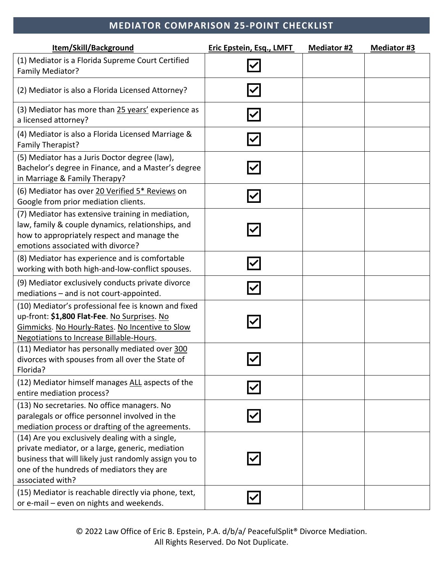## **MEDIATOR COMPARISON 25-POINT CHECKLIST**

| Item/Skill/Background                                                                                                                                                                                                         | <b>Eric Epstein, Esq., LMFT</b> | <b>Mediator #2</b> | <b>Mediator #3</b> |
|-------------------------------------------------------------------------------------------------------------------------------------------------------------------------------------------------------------------------------|---------------------------------|--------------------|--------------------|
| (1) Mediator is a Florida Supreme Court Certified<br>Family Mediator?                                                                                                                                                         |                                 |                    |                    |
| (2) Mediator is also a Florida Licensed Attorney?                                                                                                                                                                             |                                 |                    |                    |
| (3) Mediator has more than 25 years' experience as<br>a licensed attorney?                                                                                                                                                    |                                 |                    |                    |
| (4) Mediator is also a Florida Licensed Marriage &<br>Family Therapist?                                                                                                                                                       |                                 |                    |                    |
| (5) Mediator has a Juris Doctor degree (law),<br>Bachelor's degree in Finance, and a Master's degree<br>in Marriage & Family Therapy?                                                                                         |                                 |                    |                    |
| (6) Mediator has over 20 Verified 5* Reviews on<br>Google from prior mediation clients.                                                                                                                                       |                                 |                    |                    |
| (7) Mediator has extensive training in mediation,<br>law, family & couple dynamics, relationships, and<br>how to appropriately respect and manage the<br>emotions associated with divorce?                                    |                                 |                    |                    |
| (8) Mediator has experience and is comfortable<br>working with both high-and-low-conflict spouses.                                                                                                                            |                                 |                    |                    |
| (9) Mediator exclusively conducts private divorce<br>mediations - and is not court-appointed.                                                                                                                                 |                                 |                    |                    |
| (10) Mediator's professional fee is known and fixed<br>up-front: \$1,800 Flat-Fee. No Surprises. No<br>Gimmicks. No Hourly-Rates. No Incentive to Slow<br><b>Negotiations to Increase Billable-Hours.</b>                     |                                 |                    |                    |
| (11) Mediator has personally mediated over 300<br>divorces with spouses from all over the State of<br>Florida?                                                                                                                |                                 |                    |                    |
| (12) Mediator himself manages ALL aspects of the<br>entire mediation process?                                                                                                                                                 |                                 |                    |                    |
| (13) No secretaries. No office managers. No<br>paralegals or office personnel involved in the<br>mediation process or drafting of the agreements.                                                                             |                                 |                    |                    |
| (14) Are you exclusively dealing with a single,<br>private mediator, or a large, generic, mediation<br>business that will likely just randomly assign you to<br>one of the hundreds of mediators they are<br>associated with? |                                 |                    |                    |
| (15) Mediator is reachable directly via phone, text,<br>or e-mail - even on nights and weekends.                                                                                                                              |                                 |                    |                    |